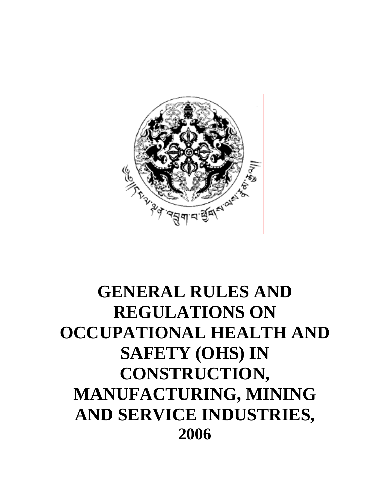

# **GENERAL RULES AND REGULATIONS ON OCCUPATIONAL HEALTH AND SAFETY (OHS) IN CONSTRUCTION, MANUFACTURING, MINING AND SERVICE INDUSTRIES, 2006**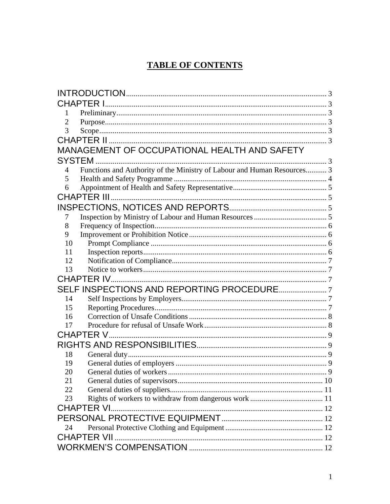# **TABLE OF CONTENTS**

| <b>CHAPTER I.</b>                                                            |  |  |  |
|------------------------------------------------------------------------------|--|--|--|
| 1                                                                            |  |  |  |
| 2                                                                            |  |  |  |
| 3                                                                            |  |  |  |
|                                                                              |  |  |  |
| MANAGEMENT OF OCCUPATIONAL HEALTH AND SAFETY                                 |  |  |  |
| SYSTEM.                                                                      |  |  |  |
| Functions and Authority of the Ministry of Labour and Human Resources 3<br>4 |  |  |  |
| 5                                                                            |  |  |  |
| 6                                                                            |  |  |  |
| CHAPTER III                                                                  |  |  |  |
|                                                                              |  |  |  |
| 7                                                                            |  |  |  |
| 8                                                                            |  |  |  |
| 9                                                                            |  |  |  |
| 10                                                                           |  |  |  |
| 11                                                                           |  |  |  |
| 12                                                                           |  |  |  |
| 13                                                                           |  |  |  |
| <b>CHAPTER IV</b>                                                            |  |  |  |
|                                                                              |  |  |  |
| 14                                                                           |  |  |  |
| 15                                                                           |  |  |  |
| 16                                                                           |  |  |  |
| 17                                                                           |  |  |  |
| CHAPTER V                                                                    |  |  |  |
|                                                                              |  |  |  |
| 18                                                                           |  |  |  |
| 19                                                                           |  |  |  |
| 20                                                                           |  |  |  |
| 21                                                                           |  |  |  |
| 22                                                                           |  |  |  |
| 23                                                                           |  |  |  |
| <b>CHAPTER VI.</b>                                                           |  |  |  |
|                                                                              |  |  |  |
| 24                                                                           |  |  |  |
| <b>CHAPTER VII</b>                                                           |  |  |  |
|                                                                              |  |  |  |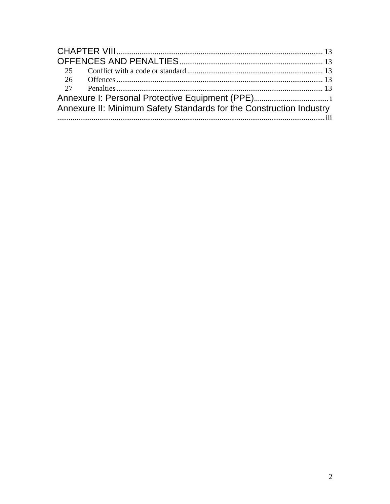| 25                                                                  |  |  |  |
|---------------------------------------------------------------------|--|--|--|
|                                                                     |  |  |  |
|                                                                     |  |  |  |
|                                                                     |  |  |  |
| Annexure II: Minimum Safety Standards for the Construction Industry |  |  |  |
|                                                                     |  |  |  |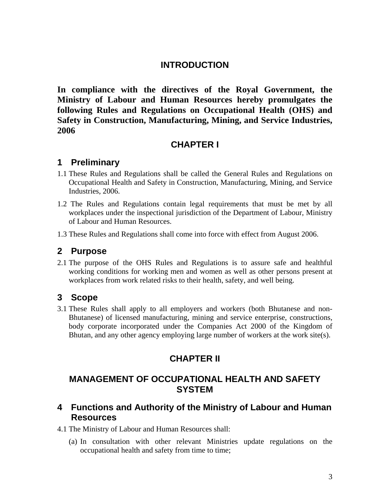#### **INTRODUCTION**

<span id="page-3-0"></span>**In compliance with the directives of the Royal Government, the Ministry of Labour and Human Resources hereby promulgates the following Rules and Regulations on Occupational Health (OHS) and Safety in Construction, Manufacturing, Mining, and Service Industries, 2006** 

## **CHAPTER I**

## **1 Preliminary**

- 1.1 These Rules and Regulations shall be called the General Rules and Regulations on Occupational Health and Safety in Construction, Manufacturing, Mining, and Service Industries, 2006.
- 1.2 The Rules and Regulations contain legal requirements that must be met by all workplaces under the inspectional jurisdiction of the Department of Labour, Ministry of Labour and Human Resources.
- 1.3 These Rules and Regulations shall come into force with effect from August 2006.

#### **2 Purpose**

2.1 The purpose of the OHS Rules and Regulations is to assure safe and healthful working conditions for working men and women as well as other persons present at workplaces from work related risks to their health, safety, and well being.

#### **3 Scope**

3.1 These Rules shall apply to all employers and workers (both Bhutanese and non-Bhutanese) of licensed manufacturing, mining and service enterprise, constructions, body corporate incorporated under the Companies Act 2000 of the Kingdom of Bhutan, and any other agency employing large number of workers at the work site(s).

# **CHAPTER II**

## **MANAGEMENT OF OCCUPATIONAL HEALTH AND SAFETY SYSTEM**

## **4 Functions and Authority of the Ministry of Labour and Human Resources**

4.1 The Ministry of Labour and Human Resources shall:

(a) In consultation with other relevant Ministries update regulations on the occupational health and safety from time to time;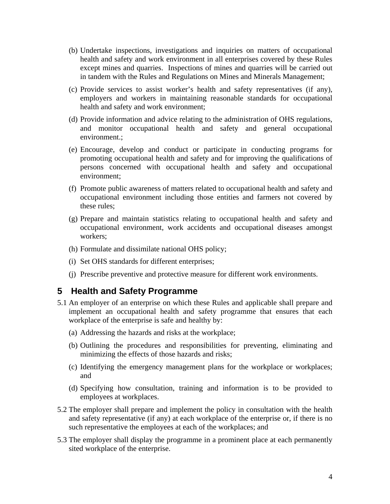- <span id="page-4-0"></span>(b) Undertake inspections, investigations and inquiries on matters of occupational health and safety and work environment in all enterprises covered by these Rules except mines and quarries. Inspections of mines and quarries will be carried out in tandem with the Rules and Regulations on Mines and Minerals Management;
- (c) Provide services to assist worker's health and safety representatives (if any), employers and workers in maintaining reasonable standards for occupational health and safety and work environment;
- (d) Provide information and advice relating to the administration of OHS regulations, and monitor occupational health and safety and general occupational environment.;
- (e) Encourage, develop and conduct or participate in conducting programs for promoting occupational health and safety and for improving the qualifications of persons concerned with occupational health and safety and occupational environment;
- (f) Promote public awareness of matters related to occupational health and safety and occupational environment including those entities and farmers not covered by these rules;
- (g) Prepare and maintain statistics relating to occupational health and safety and occupational environment, work accidents and occupational diseases amongst workers;
- (h) Formulate and dissimilate national OHS policy;
- (i) Set OHS standards for different enterprises;
- (j) Prescribe preventive and protective measure for different work environments.

#### **5 Health and Safety Programme**

- 5.1 An employer of an enterprise on which these Rules and applicable shall prepare and implement an occupational health and safety programme that ensures that each workplace of the enterprise is safe and healthy by:
	- (a) Addressing the hazards and risks at the workplace;
	- (b) Outlining the procedures and responsibilities for preventing, eliminating and minimizing the effects of those hazards and risks;
	- (c) Identifying the emergency management plans for the workplace or workplaces; and
	- (d) Specifying how consultation, training and information is to be provided to employees at workplaces.
- 5.2 The employer shall prepare and implement the policy in consultation with the health and safety representative (if any) at each workplace of the enterprise or, if there is no such representative the employees at each of the workplaces; and
- 5.3 The employer shall display the programme in a prominent place at each permanently sited workplace of the enterprise.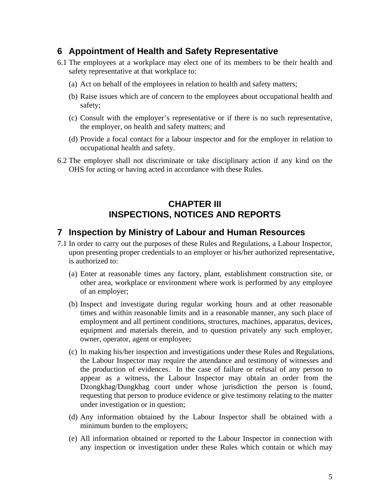#### <span id="page-5-0"></span>**6 Appointment of Health and Safety Representative**

- 6.1 The employees at a workplace may elect one of its members to be their health and safety representative at that workplace to:
	- (a) Act on behalf of the employees in relation to health and safety matters;
	- (b) Raise issues which are of concern to the employees about occupational health and safety;
	- (c) Consult with the employer's representative or if there is no such representative, the employer, on health and safety matters; and
	- (d) Provide a focal contact for a labour inspector and for the employer in relation to occupational health and safety.
- 6.2 The employer shall not discriminate or take disciplinary action if any kind on the OHS for acting or having acted in accordance with these Rules.

# **CHAPTER III INSPECTIONS, NOTICES AND REPORTS**

#### **7 Inspection by Ministry of Labour and Human Resources**

- 7.1 In order to carry out the purposes of these Rules and Regulations, a Labour Inspector, upon presenting proper credentials to an employer or his/her authorized representative, is authorized to:
	- (a) Enter at reasonable times any factory, plant, establishment construction site, or other area, workplace or environment where work is performed by any employee of an employer;
	- (b) Inspect and investigate during regular working hours and at other reasonable times and within reasonable limits and in a reasonable manner, any such place of employment and all pertinent conditions, structures, machines, apparatus, devices, equipment and materials therein, and to question privately any such employer, owner, operator, agent or employee;
	- (c) In making his/her inspection and investigations under these Rules and Regulations, the Labour Inspector may require the attendance and testimony of witnesses and the production of evidences. In the case of failure or refusal of any person to appear as a witness, the Labour Inspector may obtain an order from the Dzongkhag/Dungkhag court under whose jurisdiction the person is found, requesting that person to produce evidence or give testimony relating to the matter under investigation or in question;
	- (d) Any information obtained by the Labour Inspector shall be obtained with a minimum burden to the employers;
	- (e) All information obtained or reported to the Labour Inspector in connection with any inspection or investigation under these Rules which contain or which may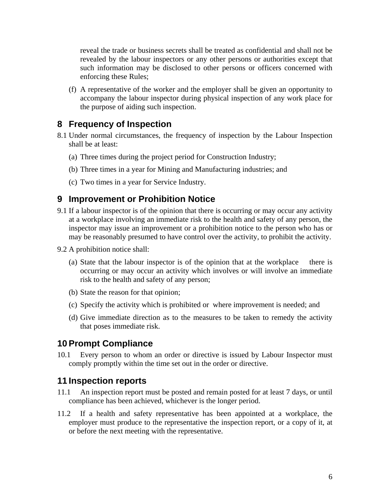<span id="page-6-0"></span>reveal the trade or business secrets shall be treated as confidential and shall not be revealed by the labour inspectors or any other persons or authorities except that such information may be disclosed to other persons or officers concerned with enforcing these Rules;

(f) A representative of the worker and the employer shall be given an opportunity to accompany the labour inspector during physical inspection of any work place for the purpose of aiding such inspection.

#### **8 Frequency of Inspection**

- 8.1 Under normal circumstances, the frequency of inspection by the Labour Inspection shall be at least:
	- (a) Three times during the project period for Construction Industry;
	- (b) Three times in a year for Mining and Manufacturing industries; and
	- (c) Two times in a year for Service Industry.

#### **9 Improvement or Prohibition Notice**

- 9.1 If a labour inspector is of the opinion that there is occurring or may occur any activity at a workplace involving an immediate risk to the health and safety of any person, the inspector may issue an improvement or a prohibition notice to the person who has or may be reasonably presumed to have control over the activity, to prohibit the activity.
- 9.2 A prohibition notice shall:
	- (a) State that the labour inspector is of the opinion that at the workplace there is occurring or may occur an activity which involves or will involve an immediate risk to the health and safety of any person;
	- (b) State the reason for that opinion;
	- (c) Specify the activity which is prohibited or where improvement is needed; and
	- (d) Give immediate direction as to the measures to be taken to remedy the activity that poses immediate risk.

#### **10 Prompt Compliance**

10.1 Every person to whom an order or directive is issued by Labour Inspector must comply promptly within the time set out in the order or directive.

#### **11 Inspection reports**

- 11.1 An inspection report must be posted and remain posted for at least 7 days, or until compliance has been achieved, whichever is the longer period.
- 11.2 If a health and safety representative has been appointed at a workplace, the employer must produce to the representative the inspection report, or a copy of it, at or before the next meeting with the representative.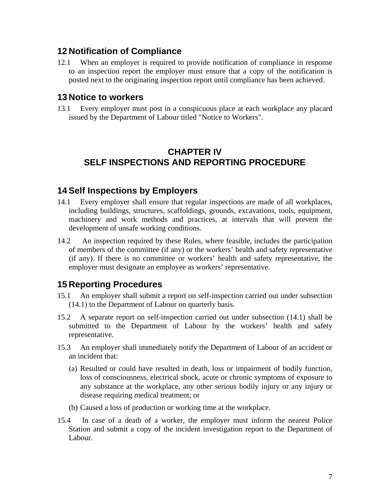#### <span id="page-7-0"></span>**12 Notification of Compliance**

12.1 When an employer is required to provide notification of compliance in response to an inspection report the employer must ensure that a copy of the notification is posted next to the originating inspection report until compliance has been achieved.

#### **13 Notice to workers**

13.1 Every employer must post in a conspicuous place at each workplace any placard issued by the Department of Labour titled "Notice to Workers".

# **CHAPTER IV SELF INSPECTIONS AND REPORTING PROCEDURE**

#### **14 Self Inspections by Employers**

- 14.1 Every employer shall ensure that regular inspections are made of all workplaces, including buildings, structures, scaffoldings, grounds, excavations, tools, equipment, machinery and work methods and practices, at intervals that will prevent the development of unsafe working conditions.
- 14.2 An inspection required by these Rules, where feasible, includes the participation of members of the committee (if any) or the workers' health and safety representative (if any). If there is no committee or workers' health and safety representative, the employer must designate an employee as workers' representative.

#### **15 Reporting Procedures**

- 15.1 An employer shall submit a report on self-inspection carried out under subsection (14.1) to the Department of Labour on quarterly basis.
- 15.2 A separate report on self-inspection carried out under subsection (14.1) shall be submitted to the Department of Labour by the workers' health and safety representative.
- 15.3 An employer shall immediately notify the Department of Labour of an accident or an incident that:
	- (a) Resulted or could have resulted in death, loss or impairment of bodily function, loss of consciousness, electrical shock, acute or chronic symptoms of exposure to any substance at the workplace, any other serious bodily injury or any injury or disease requiring medical treatment; or
	- (b) Caused a loss of production or working time at the workplace.
- 15.4 In case of a death of a worker, the employer must inform the nearest Police Station and submit a copy of the incident investigation report to the Department of Labour.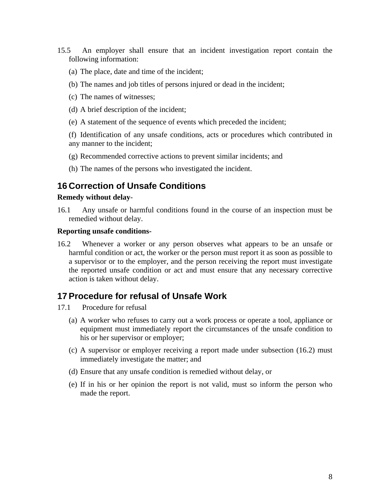- <span id="page-8-0"></span>15.5 An employer shall ensure that an incident investigation report contain the following information:
	- (a) The place, date and time of the incident;
	- (b) The names and job titles of persons injured or dead in the incident;
	- (c) The names of witnesses;
	- (d) A brief description of the incident;
	- (e) A statement of the sequence of events which preceded the incident;
	- (f) Identification of any unsafe conditions, acts or procedures which contributed in any manner to the incident;
	- (g) Recommended corrective actions to prevent similar incidents; and
	- (h) The names of the persons who investigated the incident.

## **16 Correction of Unsafe Conditions**

#### **Remedy without delay**-

16.1 Any unsafe or harmful conditions found in the course of an inspection must be remedied without delay.

#### **Reporting unsafe conditions-**

16.2 Whenever a worker or any person observes what appears to be an unsafe or harmful condition or act, the worker or the person must report it as soon as possible to a supervisor or to the employer, and the person receiving the report must investigate the reported unsafe condition or act and must ensure that any necessary corrective action is taken without delay.

#### **17 Procedure for refusal of Unsafe Work**

- 17.1 Procedure for refusal
	- (a) A worker who refuses to carry out a work process or operate a tool, appliance or equipment must immediately report the circumstances of the unsafe condition to his or her supervisor or employer;
	- (c) A supervisor or employer receiving a report made under subsection (16.2) must immediately investigate the matter; and
	- (d) Ensure that any unsafe condition is remedied without delay, or
	- (e) If in his or her opinion the report is not valid, must so inform the person who made the report.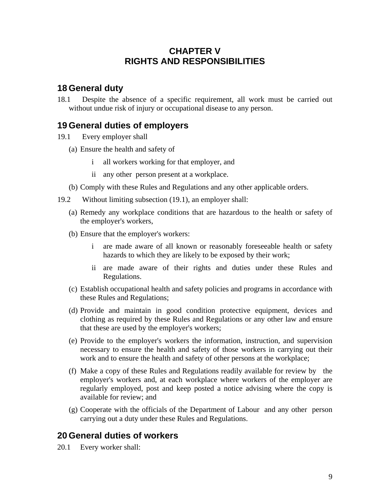# **CHAPTER V RIGHTS AND RESPONSIBILITIES**

## <span id="page-9-0"></span>**18 General duty**

18.1 Despite the absence of a specific requirement, all work must be carried out without undue risk of injury or occupational disease to any person.

#### **19 General duties of employers**

- 19.1 Every employer shall
	- (a) Ensure the health and safety of
		- i all workers working for that employer, and
		- ii any other person present at a workplace.
	- (b) Comply with these Rules and Regulations and any other applicable orders.
- 19.2 Without limiting subsection (19.1), an employer shall:
	- (a) Remedy any workplace conditions that are hazardous to the health or safety of the employer's workers,
	- (b) Ensure that the employer's workers:
		- i are made aware of all known or reasonably foreseeable health or safety hazards to which they are likely to be exposed by their work;
		- ii are made aware of their rights and duties under these Rules and Regulations.
	- (c) Establish occupational health and safety policies and programs in accordance with these Rules and Regulations;
	- (d) Provide and maintain in good condition protective equipment, devices and clothing as required by these Rules and Regulations or any other law and ensure that these are used by the employer's workers;
	- (e) Provide to the employer's workers the information, instruction, and supervision necessary to ensure the health and safety of those workers in carrying out their work and to ensure the health and safety of other persons at the workplace;
	- (f) Make a copy of these Rules and Regulations readily available for review by the employer's workers and, at each workplace where workers of the employer are regularly employed, post and keep posted a notice advising where the copy is available for review; and
	- (g) Cooperate with the officials of the Department of Labour and any other person carrying out a duty under these Rules and Regulations.

#### **20 General duties of workers**

20.1 Every worker shall: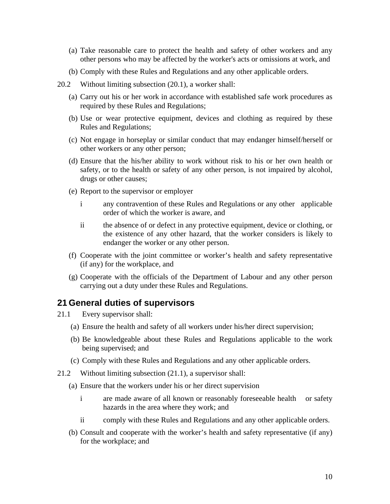- <span id="page-10-0"></span>(a) Take reasonable care to protect the health and safety of other workers and any other persons who may be affected by the worker's acts or omissions at work, and
- (b) Comply with these Rules and Regulations and any other applicable orders.
- 20.2 Without limiting subsection (20.1), a worker shall:
	- (a) Carry out his or her work in accordance with established safe work procedures as required by these Rules and Regulations;
	- (b) Use or wear protective equipment, devices and clothing as required by these Rules and Regulations;
	- (c) Not engage in horseplay or similar conduct that may endanger himself/herself or other workers or any other person;
	- (d) Ensure that the his/her ability to work without risk to his or her own health or safety, or to the health or safety of any other person, is not impaired by alcohol, drugs or other causes;
	- (e) Report to the supervisor or employer
		- i any contravention of these Rules and Regulations or any other applicable order of which the worker is aware, and
		- ii the absence of or defect in any protective equipment, device or clothing, or the existence of any other hazard, that the worker considers is likely to endanger the worker or any other person.
	- (f) Cooperate with the joint committee or worker's health and safety representative (if any) for the workplace, and
	- (g) Cooperate with the officials of the Department of Labour and any other person carrying out a duty under these Rules and Regulations.

#### **21 General duties of supervisors**

- 21.1 Every supervisor shall:
	- (a) Ensure the health and safety of all workers under his/her direct supervision;
	- (b) Be knowledgeable about these Rules and Regulations applicable to the work being supervised; and
	- (c) Comply with these Rules and Regulations and any other applicable orders.
- 21.2 Without limiting subsection (21.1), a supervisor shall:
	- (a) Ensure that the workers under his or her direct supervision
		- i are made aware of all known or reasonably foreseeable health or safety hazards in the area where they work; and
		- ii comply with these Rules and Regulations and any other applicable orders.
	- (b) Consult and cooperate with the worker's health and safety representative (if any) for the workplace; and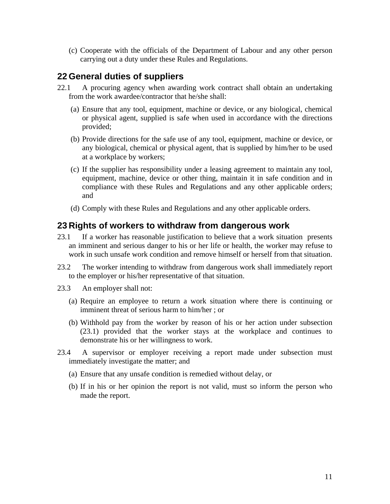<span id="page-11-0"></span>(c) Cooperate with the officials of the Department of Labour and any other person carrying out a duty under these Rules and Regulations.

## **22 General duties of suppliers**

- 22.1 A procuring agency when awarding work contract shall obtain an undertaking from the work awardee/contractor that he/she shall:
	- (a) Ensure that any tool, equipment, machine or device, or any biological, chemical or physical agent, supplied is safe when used in accordance with the directions provided;
	- (b) Provide directions for the safe use of any tool, equipment, machine or device, or any biological, chemical or physical agent, that is supplied by him/her to be used at a workplace by workers;
	- (c) If the supplier has responsibility under a leasing agreement to maintain any tool, equipment, machine, device or other thing, maintain it in safe condition and in compliance with these Rules and Regulations and any other applicable orders; and
	- (d) Comply with these Rules and Regulations and any other applicable orders.

#### **23 Rights of workers to withdraw from dangerous work**

- 23.1 If a worker has reasonable justification to believe that a work situation presents an imminent and serious danger to his or her life or health, the worker may refuse to work in such unsafe work condition and remove himself or herself from that situation.
- 23.2 The worker intending to withdraw from dangerous work shall immediately report to the employer or his/her representative of that situation.
- 23.3 An employer shall not:
	- (a) Require an employee to return a work situation where there is continuing or imminent threat of serious harm to him/her  $\cdot$  or
	- (b) Withhold pay from the worker by reason of his or her action under subsection (23.1) provided that the worker stays at the workplace and continues to demonstrate his or her willingness to work.
- 23.4 A supervisor or employer receiving a report made under subsection must immediately investigate the matter; and
	- (a) Ensure that any unsafe condition is remedied without delay, or
	- (b) If in his or her opinion the report is not valid, must so inform the person who made the report.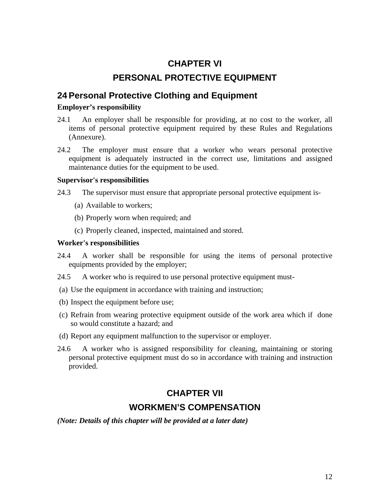# **CHAPTER VI PERSONAL PROTECTIVE EQUIPMENT**

## <span id="page-12-0"></span>**24 Personal Protective Clothing and Equipment**

#### **Employer's responsibility**

- 24.1 An employer shall be responsible for providing, at no cost to the worker, all items of personal protective equipment required by these Rules and Regulations (Annexure).
- 24.2 The employer must ensure that a worker who wears personal protective equipment is adequately instructed in the correct use, limitations and assigned maintenance duties for the equipment to be used.

#### **Supervisor's responsibilities**

24.3 The supervisor must ensure that appropriate personal protective equipment is-

- (a) Available to workers;
- (b) Properly worn when required; and
- (c) Properly cleaned, inspected, maintained and stored.

#### **Worker's responsibilities**

- 24.4 A worker shall be responsible for using the items of personal protective equipments provided by the employer;
- 24.5 A worker who is required to use personal protective equipment must-
- (a) Use the equipment in accordance with training and instruction;
- (b) Inspect the equipment before use;
- (c) Refrain from wearing protective equipment outside of the work area which if done so would constitute a hazard; and
- (d) Report any equipment malfunction to the supervisor or employer.
- 24.6 A worker who is assigned responsibility for cleaning, maintaining or storing personal protective equipment must do so in accordance with training and instruction provided.

# **CHAPTER VII**

#### **WORKMEN'S COMPENSATION**

*(Note: Details of this chapter will be provided at a later date)*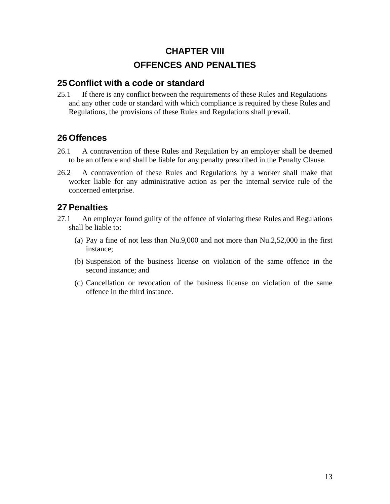# **CHAPTER VIII OFFENCES AND PENALTIES**

#### <span id="page-13-0"></span>**25 Conflict with a code or standard**

25.1 If there is any conflict between the requirements of these Rules and Regulations and any other code or standard with which compliance is required by these Rules and Regulations, the provisions of these Rules and Regulations shall prevail.

# **26 Offences**

- 26.1 A contravention of these Rules and Regulation by an employer shall be deemed to be an offence and shall be liable for any penalty prescribed in the Penalty Clause.
- 26.2 A contravention of these Rules and Regulations by a worker shall make that worker liable for any administrative action as per the internal service rule of the concerned enterprise.

# **27 Penalties**

- 27.1 An employer found guilty of the offence of violating these Rules and Regulations shall be liable to:
	- (a) Pay a fine of not less than Nu.9,000 and not more than Nu.2,52,000 in the first instance;
	- (b) Suspension of the business license on violation of the same offence in the second instance; and
	- (c) Cancellation or revocation of the business license on violation of the same offence in the third instance.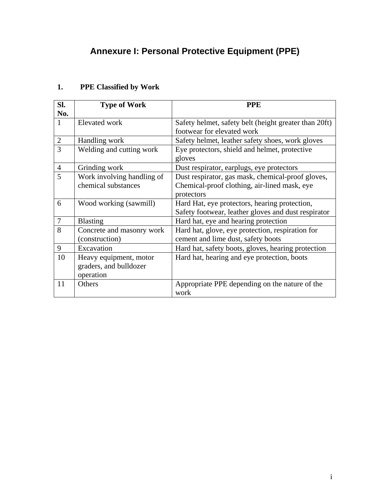# **Annexure I: Personal Protective Equipment (PPE)**

| SI.<br>No.     | <b>Type of Work</b>                                           | <b>PPE</b>                                                                                                      |
|----------------|---------------------------------------------------------------|-----------------------------------------------------------------------------------------------------------------|
| 1              | Elevated work                                                 | Safety helmet, safety belt (height greater than 20ft)<br>footwear for elevated work                             |
| $\mathbf{2}$   | Handling work                                                 | Safety helmet, leather safety shoes, work gloves                                                                |
| 3              | Welding and cutting work                                      | Eye protectors, shield and helmet, protective<br>gloves                                                         |
| $\overline{4}$ | Grinding work                                                 | Dust respirator, earplugs, eye protectors                                                                       |
| 5              | Work involving handling of<br>chemical substances             | Dust respirator, gas mask, chemical-proof gloves,<br>Chemical-proof clothing, air-lined mask, eye<br>protectors |
| 6              | Wood working (sawmill)                                        | Hard Hat, eye protectors, hearing protection,<br>Safety footwear, leather gloves and dust respirator            |
| $\overline{7}$ | <b>Blasting</b>                                               | Hard hat, eye and hearing protection                                                                            |
| 8              | Concrete and masonry work<br>(construction)                   | Hard hat, glove, eye protection, respiration for<br>cement and lime dust, safety boots                          |
| 9              | Excavation                                                    | Hard hat, safety boots, gloves, hearing protection                                                              |
| 10             | Heavy equipment, motor<br>graders, and bulldozer<br>operation | Hard hat, hearing and eye protection, boots                                                                     |
| 11             | Others                                                        | Appropriate PPE depending on the nature of the<br>work                                                          |

# <span id="page-14-0"></span>**1. PPE Classified by Work**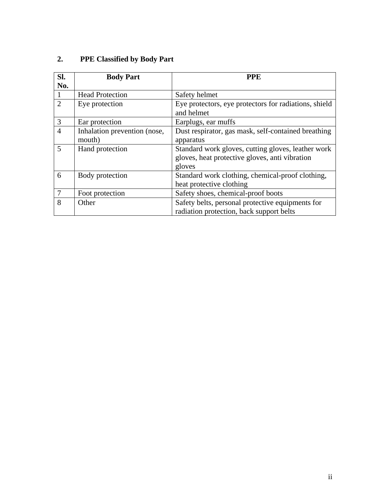| 2.<br><b>PPE Classified by Body Part</b> |  |
|------------------------------------------|--|
|------------------------------------------|--|

| Sl.            | <b>Body Part</b>             | <b>PPE</b>                                            |
|----------------|------------------------------|-------------------------------------------------------|
| No.            |                              |                                                       |
|                | <b>Head Protection</b>       | Safety helmet                                         |
| 2              | Eye protection               | Eye protectors, eye protectors for radiations, shield |
|                |                              | and helmet                                            |
| 3              | Ear protection               | Earplugs, ear muffs                                   |
| $\overline{4}$ | Inhalation prevention (nose, | Dust respirator, gas mask, self-contained breathing   |
|                | mouth)                       | apparatus                                             |
| 5              | Hand protection              | Standard work gloves, cutting gloves, leather work    |
|                |                              | gloves, heat protective gloves, anti vibration        |
|                |                              | gloves                                                |
| 6              | Body protection              | Standard work clothing, chemical-proof clothing,      |
|                |                              | heat protective clothing                              |
|                | Foot protection              | Safety shoes, chemical-proof boots                    |
| 8              | Other                        | Safety belts, personal protective equipments for      |
|                |                              | radiation protection, back support belts              |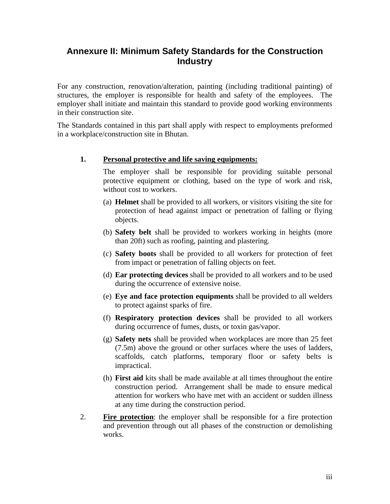## <span id="page-16-0"></span>**Annexure II: Minimum Safety Standards for the Construction Industry**

For any construction, renovation/alteration, painting (including traditional painting) of structures, the employer is responsible for health and safety of the employees. The employer shall initiate and maintain this standard to provide good working environments in their construction site.

The Standards contained in this part shall apply with respect to employments preformed in a workplace/construction site in Bhutan.

#### **1. Personal protective and life saving equipments:**

The employer shall be responsible for providing suitable personal protective equipment or clothing, based on the type of work and risk, without cost to workers.

- (a) **Helmet** shall be provided to all workers, or visitors visiting the site for protection of head against impact or penetration of falling or flying objects.
- (b) **Safety belt** shall be provided to workers working in heights (more than 20ft) such as roofing, painting and plastering.
- (c) **Safety boots** shall be provided to all workers for protection of feet from impact or penetration of falling objects on feet.
- (d) **Ear protecting devices** shall be provided to all workers and to be used during the occurrence of extensive noise.
- (e) **Eye and face protection equipments** shall be provided to all welders to protect against sparks of fire.
- (f) **Respiratory protection devices** shall be provided to all workers during occurrence of fumes, dusts, or toxin gas/vapor.
- (g) **Safety nets** shall be provided when workplaces are more than 25 feet (7.5m) above the ground or other surfaces where the uses of ladders, scaffolds, catch platforms, temporary floor or safety belts is impractical.
- (h) **First aid** kits shall be made available at all times throughout the entire construction period. Arrangement shall be made to ensure medical attention for workers who have met with an accident or sudden illness at any time during the construction period.
- 2. **Fire protection**: the employer shall be responsible for a fire protection and prevention through out all phases of the construction or demolishing works.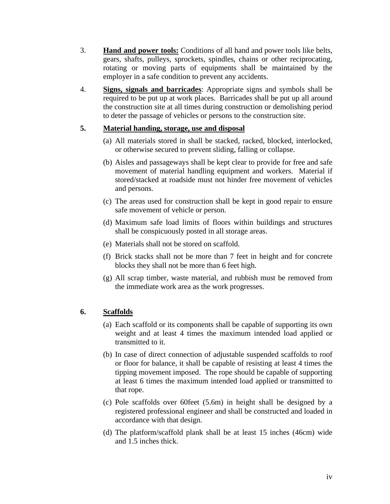- 3. **Hand and power tools:** Conditions of all hand and power tools like belts, gears, shafts, pulleys, sprockets, spindles, chains or other reciprocating, rotating or moving parts of equipments shall be maintained by the employer in a safe condition to prevent any accidents.
- 4. **Signs, signals and barricades**: Appropriate signs and symbols shall be required to be put up at work places. Barricades shall be put up all around the construction site at all times during construction or demolishing period to deter the passage of vehicles or persons to the construction site.

#### **5. Material handing, storage, use and disposal**

- (a) All materials stored in shall be stacked, racked, blocked, interlocked, or otherwise secured to prevent sliding, falling or collapse.
- (b) Aisles and passageways shall be kept clear to provide for free and safe movement of material handling equipment and workers. Material if stored/stacked at roadside must not hinder free movement of vehicles and persons.
- (c) The areas used for construction shall be kept in good repair to ensure safe movement of vehicle or person.
- (d) Maximum safe load limits of floors within buildings and structures shall be conspicuously posted in all storage areas.
- (e) Materials shall not be stored on scaffold.
- (f) Brick stacks shall not be more than 7 feet in height and for concrete blocks they shall not be more than 6 feet high.
- (g) All scrap timber, waste material, and rubbish must be removed from the immediate work area as the work progresses.

#### **6. Scaffolds**

- (a) Each scaffold or its components shall be capable of supporting its own weight and at least 4 times the maximum intended load applied or transmitted to it.
- (b) In case of direct connection of adjustable suspended scaffolds to roof or floor for balance, it shall be capable of resisting at least 4 times the tipping movement imposed. The rope should be capable of supporting at least 6 times the maximum intended load applied or transmitted to that rope.
- (c) Pole scaffolds over 60feet (5.6m) in height shall be designed by a registered professional engineer and shall be constructed and loaded in accordance with that design.
- (d) The platform/scaffold plank shall be at least 15 inches (46cm) wide and 1.5 inches thick.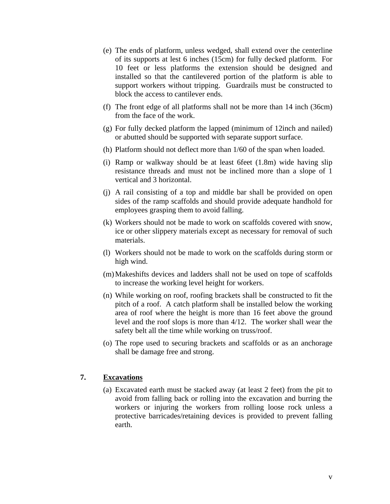- (e) The ends of platform, unless wedged, shall extend over the centerline of its supports at lest 6 inches (15cm) for fully decked platform. For 10 feet or less platforms the extension should be designed and installed so that the cantilevered portion of the platform is able to support workers without tripping. Guardrails must be constructed to block the access to cantilever ends.
- (f) The front edge of all platforms shall not be more than 14 inch (36cm) from the face of the work.
- (g) For fully decked platform the lapped (minimum of 12inch and nailed) or abutted should be supported with separate support surface.
- (h) Platform should not deflect more than 1/60 of the span when loaded.
- (i) Ramp or walkway should be at least 6feet (1.8m) wide having slip resistance threads and must not be inclined more than a slope of 1 vertical and 3 horizontal.
- (j) A rail consisting of a top and middle bar shall be provided on open sides of the ramp scaffolds and should provide adequate handhold for employees grasping them to avoid falling.
- (k) Workers should not be made to work on scaffolds covered with snow, ice or other slippery materials except as necessary for removal of such materials.
- (l) Workers should not be made to work on the scaffolds during storm or high wind.
- (m) Makeshifts devices and ladders shall not be used on tope of scaffolds to increase the working level height for workers.
- (n) While working on roof, roofing brackets shall be constructed to fit the pitch of a roof. A catch platform shall be installed below the working area of roof where the height is more than 16 feet above the ground level and the roof slops is more than 4/12. The worker shall wear the safety belt all the time while working on truss/roof.
- (o) The rope used to securing brackets and scaffolds or as an anchorage shall be damage free and strong.

#### **7. Excavations**

(a) Excavated earth must be stacked away (at least 2 feet) from the pit to avoid from falling back or rolling into the excavation and burring the workers or injuring the workers from rolling loose rock unless a protective barricades/retaining devices is provided to prevent falling earth.